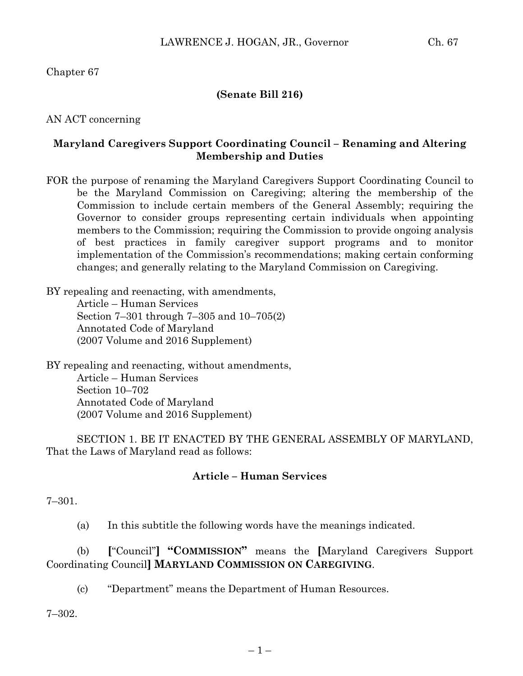Chapter 67

## **(Senate Bill 216)**

AN ACT concerning

## **Maryland Caregivers Support Coordinating Council – Renaming and Altering Membership and Duties**

FOR the purpose of renaming the Maryland Caregivers Support Coordinating Council to be the Maryland Commission on Caregiving; altering the membership of the Commission to include certain members of the General Assembly; requiring the Governor to consider groups representing certain individuals when appointing members to the Commission; requiring the Commission to provide ongoing analysis of best practices in family caregiver support programs and to monitor implementation of the Commission's recommendations; making certain conforming changes; and generally relating to the Maryland Commission on Caregiving.

BY repealing and reenacting, with amendments, Article – Human Services Section 7–301 through 7–305 and 10–705(2) Annotated Code of Maryland (2007 Volume and 2016 Supplement)

BY repealing and reenacting, without amendments, Article – Human Services Section 10–702 Annotated Code of Maryland (2007 Volume and 2016 Supplement)

SECTION 1. BE IT ENACTED BY THE GENERAL ASSEMBLY OF MARYLAND, That the Laws of Maryland read as follows:

# **Article – Human Services**

7–301.

(a) In this subtitle the following words have the meanings indicated.

(b) **[**"Council"**] "COMMISSION"** means the **[**Maryland Caregivers Support Coordinating Council**] MARYLAND COMMISSION ON CAREGIVING**.

(c) "Department" means the Department of Human Resources.

7–302.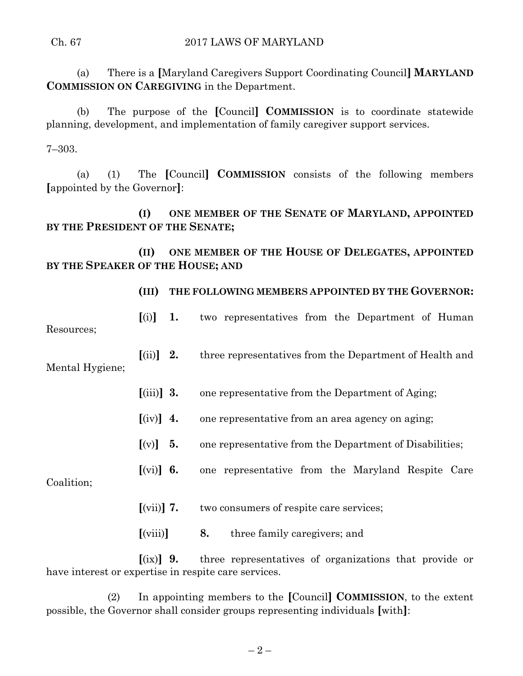#### Ch. 67 2017 LAWS OF MARYLAND

(a) There is a **[**Maryland Caregivers Support Coordinating Council**] MARYLAND COMMISSION ON CAREGIVING** in the Department.

(b) The purpose of the **[**Council**] COMMISSION** is to coordinate statewide planning, development, and implementation of family caregiver support services.

7–303.

(a) (1) The **[**Council**] COMMISSION** consists of the following members **[**appointed by the Governor**]**:

**(I) ONE MEMBER OF THE SENATE OF MARYLAND, APPOINTED BY THE PRESIDENT OF THE SENATE;**

**(II) ONE MEMBER OF THE HOUSE OF DELEGATES, APPOINTED BY THE SPEAKER OF THE HOUSE; AND**

|                               | (III)                                         |    | THE FOLLOWING MEMBERS APPOINTED BY THE GOVERNOR:        |
|-------------------------------|-----------------------------------------------|----|---------------------------------------------------------|
| Resources;<br>Mental Hygiene; | [(i)]                                         | 1. | two representatives from the Department of Human        |
|                               | $\left[ \text{(ii)} \right]$ 2.               |    | three representatives from the Department of Health and |
|                               | $\left[ \left( \text{iii} \right) \right]$ 3. |    | one representative from the Department of Aging;        |
|                               | $\left[$ (iv) $\right]$ 4.                    |    | one representative from an area agency on aging;        |
|                               | $[(v)] \quad 5.$                              |    | one representative from the Department of Disabilities; |
| Coalition;                    | $[(\n \text{vi})]$ 6.                         |    | one representative from the Maryland Respite Care       |
|                               | $\left[\text{(vii)}\right]$ 7.                |    | two consumers of respite care services;                 |

**[**(ix)**] 9.** three representatives of organizations that provide or have interest or expertise in respite care services.

**[**(viii)**] 8.** three family caregivers; and

(2) In appointing members to the **[**Council**] COMMISSION**, to the extent possible, the Governor shall consider groups representing individuals **[**with**]**:

 $-2-$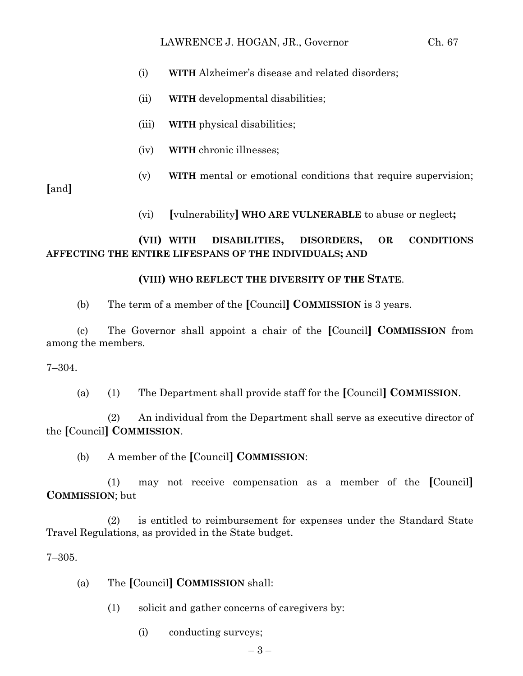- (i) **WITH** Alzheimer's disease and related disorders;
- (ii) **WITH** developmental disabilities;
- (iii) **WITH** physical disabilities;
- (iv) **WITH** chronic illnesses;
- (v) **WITH** mental or emotional conditions that require supervision;

**[**and**]**

(vi) **[**vulnerability**] WHO ARE VULNERABLE** to abuse or neglect**;**

# **(VII) WITH DISABILITIES, DISORDERS, OR CONDITIONS AFFECTING THE ENTIRE LIFESPANS OF THE INDIVIDUALS; AND**

# **(VIII) WHO REFLECT THE DIVERSITY OF THE STATE**.

(b) The term of a member of the **[**Council**] COMMISSION** is 3 years.

(c) The Governor shall appoint a chair of the **[**Council**] COMMISSION** from among the members.

7–304.

(a) (1) The Department shall provide staff for the **[**Council**] COMMISSION**.

(2) An individual from the Department shall serve as executive director of the **[**Council**] COMMISSION**.

(b) A member of the **[**Council**] COMMISSION**:

(1) may not receive compensation as a member of the **[**Council**] COMMISSION**; but

(2) is entitled to reimbursement for expenses under the Standard State Travel Regulations, as provided in the State budget.

7–305.

- (a) The **[**Council**] COMMISSION** shall:
	- (1) solicit and gather concerns of caregivers by:
		- (i) conducting surveys;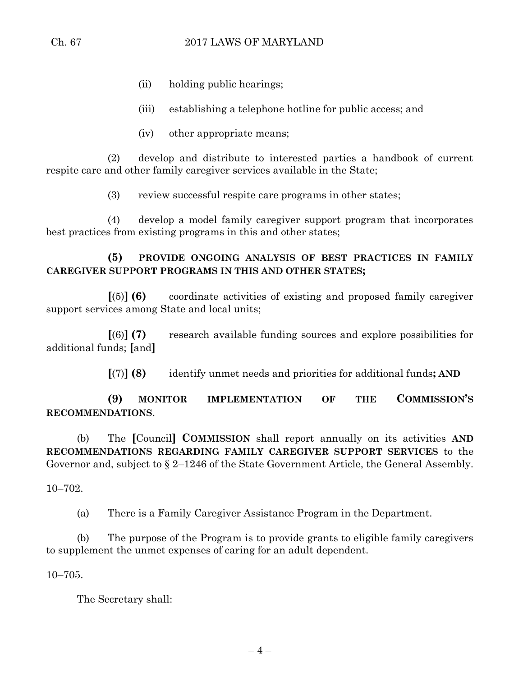- (ii) holding public hearings;
- (iii) establishing a telephone hotline for public access; and
- (iv) other appropriate means;

(2) develop and distribute to interested parties a handbook of current respite care and other family caregiver services available in the State;

(3) review successful respite care programs in other states;

(4) develop a model family caregiver support program that incorporates best practices from existing programs in this and other states;

**(5) PROVIDE ONGOING ANALYSIS OF BEST PRACTICES IN FAMILY CAREGIVER SUPPORT PROGRAMS IN THIS AND OTHER STATES;**

**[**(5)**] (6)** coordinate activities of existing and proposed family caregiver support services among State and local units;

**[**(6)**] (7)** research available funding sources and explore possibilities for additional funds; **[**and**]**

**[**(7)**] (8)** identify unmet needs and priorities for additional funds**; AND**

**(9) MONITOR IMPLEMENTATION OF THE COMMISSION'S RECOMMENDATIONS**.

(b) The **[**Council**] COMMISSION** shall report annually on its activities **AND RECOMMENDATIONS REGARDING FAMILY CAREGIVER SUPPORT SERVICES** to the Governor and, subject to § 2–1246 of the State Government Article, the General Assembly.

10–702.

(a) There is a Family Caregiver Assistance Program in the Department.

(b) The purpose of the Program is to provide grants to eligible family caregivers to supplement the unmet expenses of caring for an adult dependent.

10–705.

The Secretary shall: